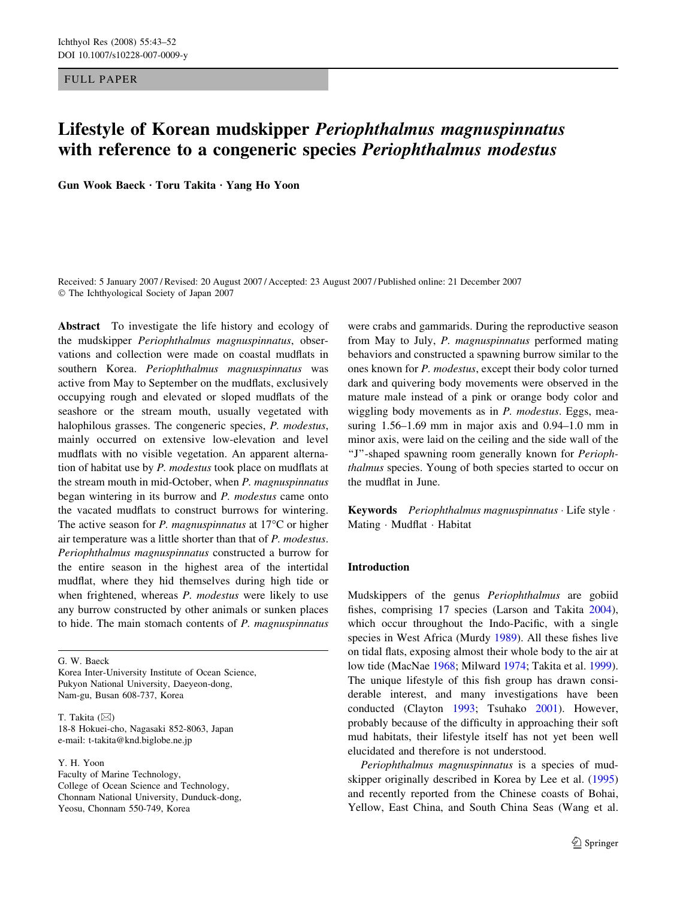FULL PAPER

# Lifestyle of Korean mudskipper Periophthalmus magnuspinnatus with reference to a congeneric species *Periophthalmus modestus*

Gun Wook Baeck · Toru Takita · Yang Ho Yoon

Received: 5 January 2007 / Revised: 20 August 2007 / Accepted: 23 August 2007 / Published online: 21 December 2007 The Ichthyological Society of Japan 2007

Abstract To investigate the life history and ecology of the mudskipper Periophthalmus magnuspinnatus, observations and collection were made on coastal mudflats in southern Korea. Periophthalmus magnuspinnatus was active from May to September on the mudflats, exclusively occupying rough and elevated or sloped mudflats of the seashore or the stream mouth, usually vegetated with halophilous grasses. The congeneric species, P. modestus, mainly occurred on extensive low-elevation and level mudflats with no visible vegetation. An apparent alternation of habitat use by P. modestus took place on mudflats at the stream mouth in mid-October, when P. magnuspinnatus began wintering in its burrow and P. modestus came onto the vacated mudflats to construct burrows for wintering. The active season for *P. magnuspinnatus* at  $17^{\circ}$ C or higher air temperature was a little shorter than that of P. modestus. Periophthalmus magnuspinnatus constructed a burrow for the entire season in the highest area of the intertidal mudflat, where they hid themselves during high tide or when frightened, whereas P. modestus were likely to use any burrow constructed by other animals or sunken places to hide. The main stomach contents of P. magnuspinnatus

G. W. Baeck

Korea Inter-University Institute of Ocean Science, Pukyon National University, Daeyeon-dong, Nam-gu, Busan 608-737, Korea

T. Takita  $(\boxtimes)$ 18-8 Hokuei-cho, Nagasaki 852-8063, Japan e-mail: t-takita@knd.biglobe.ne.jp

Y. H. Yoon Faculty of Marine Technology, College of Ocean Science and Technology, Chonnam National University, Dunduck-dong, Yeosu, Chonnam 550-749, Korea

were crabs and gammarids. During the reproductive season from May to July, P. magnuspinnatus performed mating behaviors and constructed a spawning burrow similar to the ones known for P. modestus, except their body color turned dark and quivering body movements were observed in the mature male instead of a pink or orange body color and wiggling body movements as in P. modestus. Eggs, measuring 1.56–1.69 mm in major axis and 0.94–1.0 mm in minor axis, were laid on the ceiling and the side wall of the "J"-shaped spawning room generally known for *Perioph*thalmus species. Young of both species started to occur on the mudflat in June.

Keywords Periophthalmus magnuspinnatus · Life style · Mating · Mudflat · Habitat

### Introduction

Mudskippers of the genus Periophthalmus are gobiid fishes, comprising 17 species (Larson and Takita [2004](#page-9-0)), which occur throughout the Indo-Pacific, with a single species in West Africa (Murdy [1989\)](#page-9-0). All these fishes live on tidal flats, exposing almost their whole body to the air at low tide (MacNae [1968;](#page-9-0) Milward [1974](#page-9-0); Takita et al. [1999](#page-9-0)). The unique lifestyle of this fish group has drawn considerable interest, and many investigations have been conducted (Clayton [1993](#page-9-0); Tsuhako [2001](#page-9-0)). However, probably because of the difficulty in approaching their soft mud habitats, their lifestyle itself has not yet been well elucidated and therefore is not understood.

Periophthalmus magnuspinnatus is a species of mudskipper originally described in Korea by Lee et al. ([1995\)](#page-9-0) and recently reported from the Chinese coasts of Bohai, Yellow, East China, and South China Seas (Wang et al.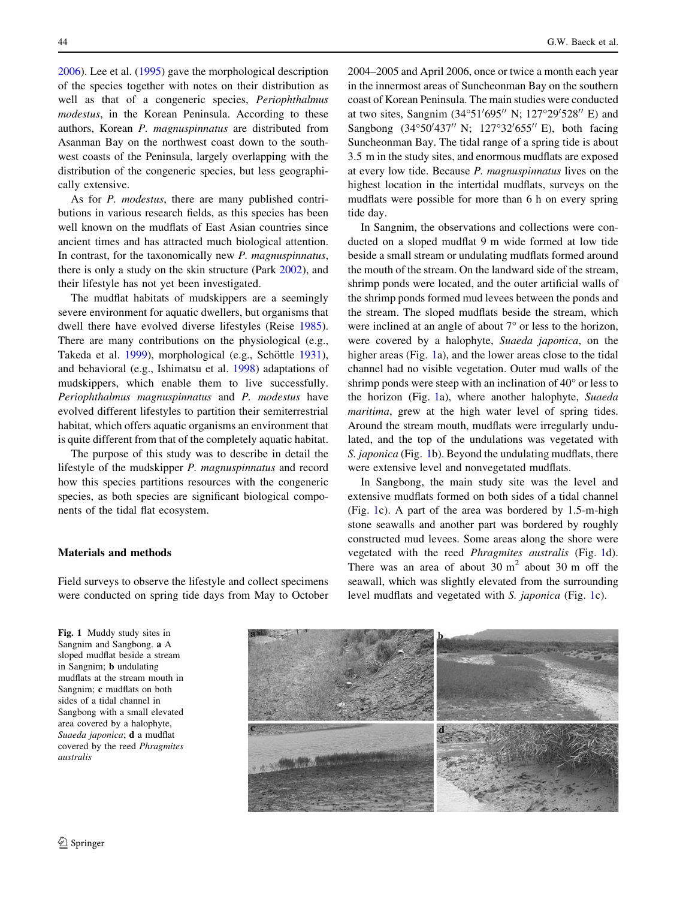<span id="page-1-0"></span>[2006\)](#page-9-0). Lee et al. ([1995\)](#page-9-0) gave the morphological description of the species together with notes on their distribution as well as that of a congeneric species, Periophthalmus modestus, in the Korean Peninsula. According to these authors, Korean P. magnuspinnatus are distributed from Asanman Bay on the northwest coast down to the southwest coasts of the Peninsula, largely overlapping with the distribution of the congeneric species, but less geographically extensive.

As for P. modestus, there are many published contributions in various research fields, as this species has been well known on the mudflats of East Asian countries since ancient times and has attracted much biological attention. In contrast, for the taxonomically new P. magnuspinnatus, there is only a study on the skin structure (Park [2002](#page-9-0)), and their lifestyle has not yet been investigated.

The mudflat habitats of mudskippers are a seemingly severe environment for aquatic dwellers, but organisms that dwell there have evolved diverse lifestyles (Reise [1985](#page-9-0)). There are many contributions on the physiological (e.g., Takeda et al. [1999\)](#page-9-0), morphological (e.g., Schöttle [1931](#page-9-0)), and behavioral (e.g., Ishimatsu et al. [1998\)](#page-9-0) adaptations of mudskippers, which enable them to live successfully. Periophthalmus magnuspinnatus and P. modestus have evolved different lifestyles to partition their semiterrestrial habitat, which offers aquatic organisms an environment that is quite different from that of the completely aquatic habitat.

The purpose of this study was to describe in detail the lifestyle of the mudskipper P. magnuspinnatus and record how this species partitions resources with the congeneric species, as both species are significant biological components of the tidal flat ecosystem.

#### Materials and methods

Field surveys to observe the lifestyle and collect specimens were conducted on spring tide days from May to October

2004–2005 and April 2006, once or twice a month each year in the innermost areas of Suncheonman Bay on the southern coast of Korean Peninsula. The main studies were conducted at two sites, Sangnim (34°51'695" N; 127°29'528" E) and Sangbong (34°50'437" N; 127°32'655" E), both facing Suncheonman Bay. The tidal range of a spring tide is about 3.5 m in the study sites, and enormous mudflats are exposed at every low tide. Because P. magnuspinnatus lives on the highest location in the intertidal mudflats, surveys on the mudflats were possible for more than 6 h on every spring tide day.

In Sangnim, the observations and collections were conducted on a sloped mudflat 9 m wide formed at low tide beside a small stream or undulating mudflats formed around the mouth of the stream. On the landward side of the stream, shrimp ponds were located, and the outer artificial walls of the shrimp ponds formed mud levees between the ponds and the stream. The sloped mudflats beside the stream, which were inclined at an angle of about  $7^\circ$  or less to the horizon, were covered by a halophyte, Suaeda japonica, on the higher areas (Fig. 1a), and the lower areas close to the tidal channel had no visible vegetation. Outer mud walls of the shrimp ponds were steep with an inclination of  $40^{\circ}$  or less to the horizon (Fig. 1a), where another halophyte, Suaeda maritima, grew at the high water level of spring tides. Around the stream mouth, mudflats were irregularly undulated, and the top of the undulations was vegetated with S. *japonica* (Fig. 1b). Beyond the undulating mudflats, there were extensive level and nonvegetated mudflats.

In Sangbong, the main study site was the level and extensive mudflats formed on both sides of a tidal channel (Fig. 1c). A part of the area was bordered by 1.5-m-high stone seawalls and another part was bordered by roughly constructed mud levees. Some areas along the shore were vegetated with the reed Phragmites australis (Fig. 1d). There was an area of about  $30 \text{ m}^2$  about  $30 \text{ m}$  off the seawall, which was slightly elevated from the surrounding level mudflats and vegetated with S. japonica (Fig. 1c).

Fig. 1 Muddy study sites in Sangnim and Sangbong. a A sloped mudflat beside a stream in Sangnim; b undulating mudflats at the stream mouth in Sangnim; c mudflats on both sides of a tidal channel in Sangbong with a small elevated area covered by a halophyte, Suaeda japonica; **d** a mudflat covered by the reed Phragmites australis

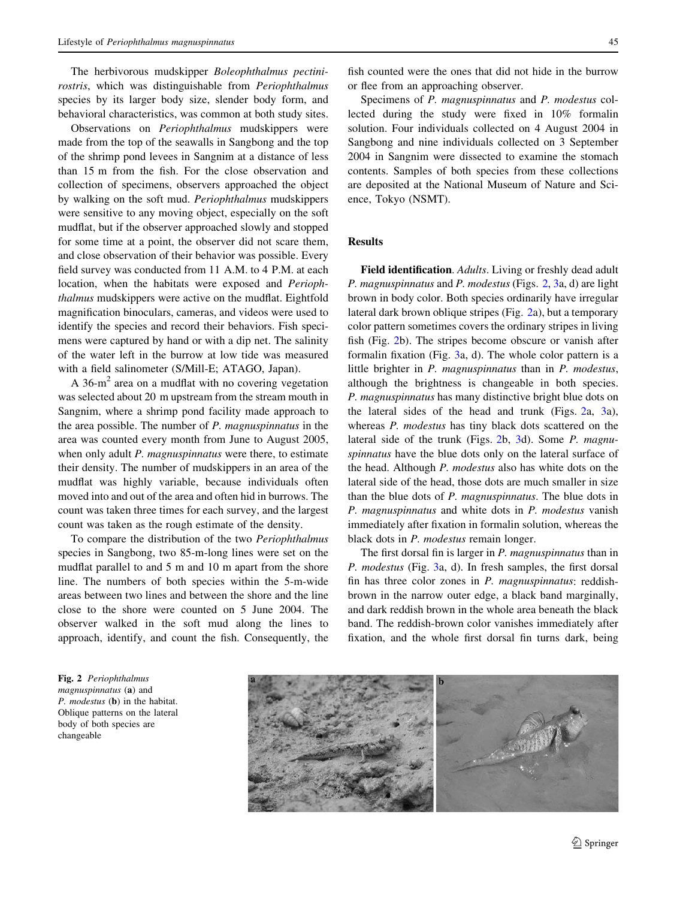<span id="page-2-0"></span>The herbivorous mudskipper Boleophthalmus pectinirostris, which was distinguishable from Periophthalmus species by its larger body size, slender body form, and behavioral characteristics, was common at both study sites.

Observations on Periophthalmus mudskippers were made from the top of the seawalls in Sangbong and the top of the shrimp pond levees in Sangnim at a distance of less than 15 m from the fish. For the close observation and collection of specimens, observers approached the object by walking on the soft mud. Periophthalmus mudskippers were sensitive to any moving object, especially on the soft mudflat, but if the observer approached slowly and stopped for some time at a point, the observer did not scare them, and close observation of their behavior was possible. Every field survey was conducted from 11 A.M. to 4 P.M. at each location, when the habitats were exposed and Periophthalmus mudskippers were active on the mudflat. Eightfold magnification binoculars, cameras, and videos were used to identify the species and record their behaviors. Fish specimens were captured by hand or with a dip net. The salinity of the water left in the burrow at low tide was measured with a field salinometer (S/Mill-E; ATAGO, Japan).

A 36- $m<sup>2</sup>$  area on a mudflat with no covering vegetation was selected about 20 m upstream from the stream mouth in Sangnim, where a shrimp pond facility made approach to the area possible. The number of P. magnuspinnatus in the area was counted every month from June to August 2005, when only adult *P. magnuspinnatus* were there, to estimate their density. The number of mudskippers in an area of the mudflat was highly variable, because individuals often moved into and out of the area and often hid in burrows. The count was taken three times for each survey, and the largest count was taken as the rough estimate of the density.

To compare the distribution of the two Periophthalmus species in Sangbong, two 85-m-long lines were set on the mudflat parallel to and 5 m and 10 m apart from the shore line. The numbers of both species within the 5-m-wide areas between two lines and between the shore and the line close to the shore were counted on 5 June 2004. The observer walked in the soft mud along the lines to approach, identify, and count the fish. Consequently, the

fish counted were the ones that did not hide in the burrow or flee from an approaching observer.

Specimens of P. magnuspinnatus and P. modestus collected during the study were fixed in 10% formalin solution. Four individuals collected on 4 August 2004 in Sangbong and nine individuals collected on 3 September 2004 in Sangnim were dissected to examine the stomach contents. Samples of both species from these collections are deposited at the National Museum of Nature and Science, Tokyo (NSMT).

#### Results

Field identification. Adults. Living or freshly dead adult P. magnuspinnatus and P. modestus (Figs. 2, [3a](#page-3-0), d) are light brown in body color. Both species ordinarily have irregular lateral dark brown oblique stripes (Fig. 2a), but a temporary color pattern sometimes covers the ordinary stripes in living fish (Fig. 2b). The stripes become obscure or vanish after formalin fixation (Fig. [3a](#page-3-0), d). The whole color pattern is a little brighter in P. magnuspinnatus than in P. modestus, although the brightness is changeable in both species. P. magnuspinnatus has many distinctive bright blue dots on the lateral sides of the head and trunk (Figs. 2a, [3a](#page-3-0)), whereas P. modestus has tiny black dots scattered on the lateral side of the trunk (Figs. 2b, [3d](#page-3-0)). Some P. magnuspinnatus have the blue dots only on the lateral surface of the head. Although P. modestus also has white dots on the lateral side of the head, those dots are much smaller in size than the blue dots of P. magnuspinnatus. The blue dots in P. magnuspinnatus and white dots in P. modestus vanish immediately after fixation in formalin solution, whereas the black dots in P. modestus remain longer.

The first dorsal fin is larger in P. magnuspinnatus than in P. modestus (Fig. [3](#page-3-0)a, d). In fresh samples, the first dorsal fin has three color zones in  $P$ . magnuspinnatus: reddishbrown in the narrow outer edge, a black band marginally, and dark reddish brown in the whole area beneath the black band. The reddish-brown color vanishes immediately after fixation, and the whole first dorsal fin turns dark, being

Fig. 2 Periophthalmus magnuspinnatus (a) and P. modestus (b) in the habitat. Oblique patterns on the lateral body of both species are changeable

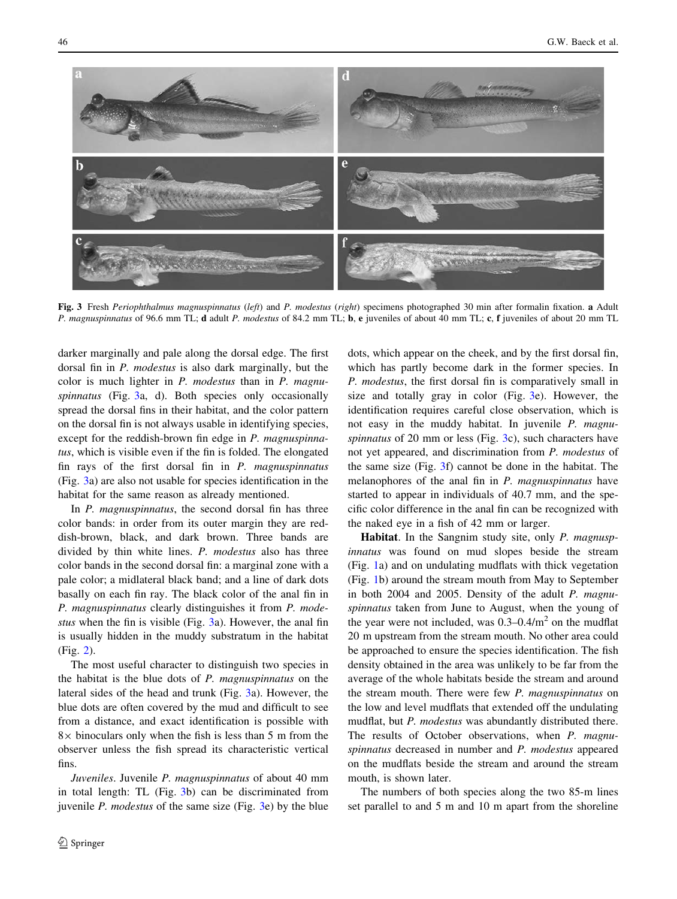<span id="page-3-0"></span>

Fig. 3 Fresh Periophthalmus magnuspinnatus (left) and P. modestus (right) specimens photographed 30 min after formalin fixation. a Adult P. magnuspinnatus of 96.6 mm TL; d adult P. modestus of 84.2 mm TL; b, e juveniles of about 40 mm TL; c, f juveniles of about 20 mm TL

darker marginally and pale along the dorsal edge. The first dorsal fin in P. modestus is also dark marginally, but the color is much lighter in *P. modestus* than in *P. magnu*spinnatus (Fig. 3a, d). Both species only occasionally spread the dorsal fins in their habitat, and the color pattern on the dorsal fin is not always usable in identifying species, except for the reddish-brown fin edge in *P. magnuspinna*tus, which is visible even if the fin is folded. The elongated fin rays of the first dorsal fin in P. magnuspinnatus (Fig. 3a) are also not usable for species identification in the habitat for the same reason as already mentioned.

In *P. magnuspinnatus*, the second dorsal fin has three color bands: in order from its outer margin they are reddish-brown, black, and dark brown. Three bands are divided by thin white lines. P. modestus also has three color bands in the second dorsal fin: a marginal zone with a pale color; a midlateral black band; and a line of dark dots basally on each fin ray. The black color of the anal fin in P. magnuspinnatus clearly distinguishes it from P. modestus when the fin is visible (Fig. 3a). However, the anal fin is usually hidden in the muddy substratum in the habitat (Fig. [2](#page-2-0)).

The most useful character to distinguish two species in the habitat is the blue dots of P. magnuspinnatus on the lateral sides of the head and trunk (Fig. 3a). However, the blue dots are often covered by the mud and difficult to see from a distance, and exact identification is possible with  $8\times$  binoculars only when the fish is less than 5 m from the observer unless the fish spread its characteristic vertical fins.

Juveniles. Juvenile P. magnuspinnatus of about 40 mm in total length: TL (Fig. 3b) can be discriminated from juvenile *P. modestus* of the same size (Fig.  $3e$ ) by the blue dots, which appear on the cheek, and by the first dorsal fin, which has partly become dark in the former species. In P. modestus, the first dorsal fin is comparatively small in size and totally gray in color (Fig. 3e). However, the identification requires careful close observation, which is not easy in the muddy habitat. In juvenile P. magnuspinnatus of 20 mm or less (Fig. 3c), such characters have not yet appeared, and discrimination from P. modestus of the same size (Fig. 3f) cannot be done in the habitat. The melanophores of the anal fin in P. magnuspinnatus have started to appear in individuals of 40.7 mm, and the specific color difference in the anal fin can be recognized with the naked eye in a fish of 42 mm or larger.

Habitat. In the Sangnim study site, only P. magnuspinnatus was found on mud slopes beside the stream (Fig. [1a](#page-1-0)) and on undulating mudflats with thick vegetation (Fig. [1b](#page-1-0)) around the stream mouth from May to September in both 2004 and 2005. Density of the adult P. magnuspinnatus taken from June to August, when the young of the year were not included, was  $0.3-0.4/m^2$  on the mudflat 20 m upstream from the stream mouth. No other area could be approached to ensure the species identification. The fish density obtained in the area was unlikely to be far from the average of the whole habitats beside the stream and around the stream mouth. There were few P. magnuspinnatus on the low and level mudflats that extended off the undulating mudflat, but *P. modestus* was abundantly distributed there. The results of October observations, when P. magnuspinnatus decreased in number and P. modestus appeared on the mudflats beside the stream and around the stream mouth, is shown later.

The numbers of both species along the two 85-m lines set parallel to and 5 m and 10 m apart from the shoreline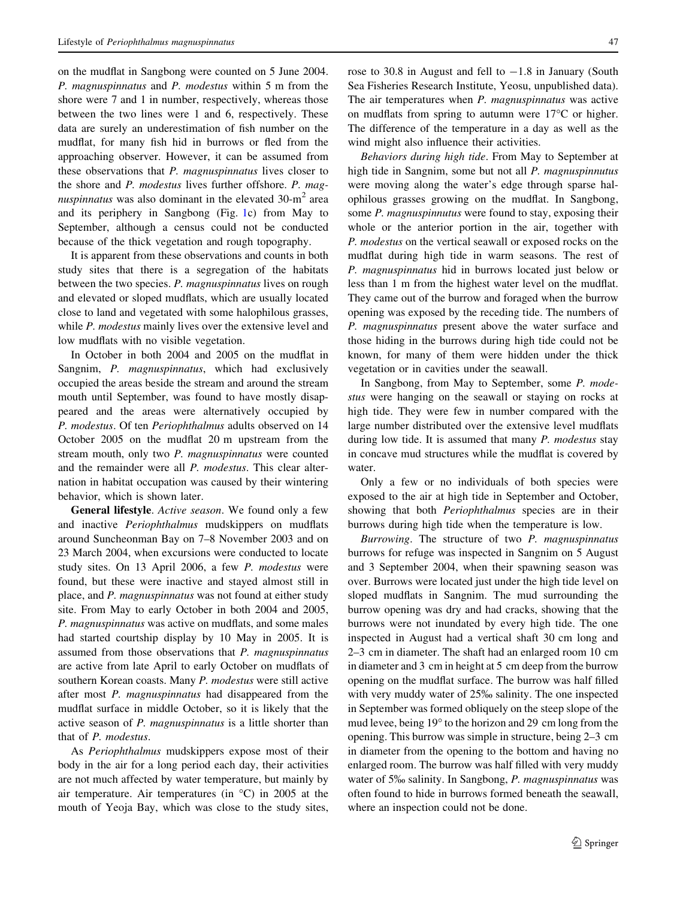on the mudflat in Sangbong were counted on 5 June 2004. P. magnuspinnatus and P. modestus within 5 m from the shore were 7 and 1 in number, respectively, whereas those between the two lines were 1 and 6, respectively. These data are surely an underestimation of fish number on the mudflat, for many fish hid in burrows or fled from the approaching observer. However, it can be assumed from these observations that P. magnuspinnatus lives closer to the shore and P. modestus lives further offshore. P. magnuspinnatus was also dominant in the elevated  $30-m^2$  area and its periphery in Sangbong (Fig. [1](#page-1-0)c) from May to September, although a census could not be conducted because of the thick vegetation and rough topography.

It is apparent from these observations and counts in both study sites that there is a segregation of the habitats between the two species. P. magnuspinnatus lives on rough and elevated or sloped mudflats, which are usually located close to land and vegetated with some halophilous grasses, while *P. modestus* mainly lives over the extensive level and low mudflats with no visible vegetation.

In October in both 2004 and 2005 on the mudflat in Sangnim, P. magnuspinnatus, which had exclusively occupied the areas beside the stream and around the stream mouth until September, was found to have mostly disappeared and the areas were alternatively occupied by P. modestus. Of ten Periophthalmus adults observed on 14 October 2005 on the mudflat 20 m upstream from the stream mouth, only two P. magnuspinnatus were counted and the remainder were all P. modestus. This clear alternation in habitat occupation was caused by their wintering behavior, which is shown later.

General lifestyle. Active season. We found only a few and inactive Periophthalmus mudskippers on mudflats around Suncheonman Bay on 7–8 November 2003 and on 23 March 2004, when excursions were conducted to locate study sites. On 13 April 2006, a few P. modestus were found, but these were inactive and stayed almost still in place, and P. magnuspinnatus was not found at either study site. From May to early October in both 2004 and 2005, P. magnuspinnatus was active on mudflats, and some males had started courtship display by 10 May in 2005. It is assumed from those observations that P. magnuspinnatus are active from late April to early October on mudflats of southern Korean coasts. Many P. modestus were still active after most P. magnuspinnatus had disappeared from the mudflat surface in middle October, so it is likely that the active season of *P. magnuspinnatus* is a little shorter than that of P. modestus.

As Periophthalmus mudskippers expose most of their body in the air for a long period each day, their activities are not much affected by water temperature, but mainly by air temperature. Air temperatures (in  $^{\circ}$ C) in 2005 at the mouth of Yeoja Bay, which was close to the study sites, rose to 30.8 in August and fell to  $-1.8$  in January (South Sea Fisheries Research Institute, Yeosu, unpublished data). The air temperatures when *P. magnuspinnatus* was active on mudflats from spring to autumn were  $17^{\circ}$ C or higher. The difference of the temperature in a day as well as the wind might also influence their activities.

Behaviors during high tide. From May to September at high tide in Sangnim, some but not all P. magnuspinnutus were moving along the water's edge through sparse halophilous grasses growing on the mudflat. In Sangbong, some *P. magnuspinnutus* were found to stay, exposing their whole or the anterior portion in the air, together with P. modestus on the vertical seawall or exposed rocks on the mudflat during high tide in warm seasons. The rest of P. magnuspinnatus hid in burrows located just below or less than 1 m from the highest water level on the mudflat. They came out of the burrow and foraged when the burrow opening was exposed by the receding tide. The numbers of P. magnuspinnatus present above the water surface and those hiding in the burrows during high tide could not be known, for many of them were hidden under the thick vegetation or in cavities under the seawall.

In Sangbong, from May to September, some P. modestus were hanging on the seawall or staying on rocks at high tide. They were few in number compared with the large number distributed over the extensive level mudflats during low tide. It is assumed that many P. modestus stay in concave mud structures while the mudflat is covered by water.

Only a few or no individuals of both species were exposed to the air at high tide in September and October, showing that both Periophthalmus species are in their burrows during high tide when the temperature is low.

Burrowing. The structure of two P. magnuspinnatus burrows for refuge was inspected in Sangnim on 5 August and 3 September 2004, when their spawning season was over. Burrows were located just under the high tide level on sloped mudflats in Sangnim. The mud surrounding the burrow opening was dry and had cracks, showing that the burrows were not inundated by every high tide. The one inspected in August had a vertical shaft 30 cm long and 2–3 cm in diameter. The shaft had an enlarged room 10 cm in diameter and 3 cm in height at 5 cm deep from the burrow opening on the mudflat surface. The burrow was half filled with very muddy water of 25‰ salinity. The one inspected in September was formed obliquely on the steep slope of the mud levee, being 19° to the horizon and 29 cm long from the opening. This burrow was simple in structure, being 2–3 cm in diameter from the opening to the bottom and having no enlarged room. The burrow was half filled with very muddy water of 5‰ salinity. In Sangbong, P. magnuspinnatus was often found to hide in burrows formed beneath the seawall, where an inspection could not be done.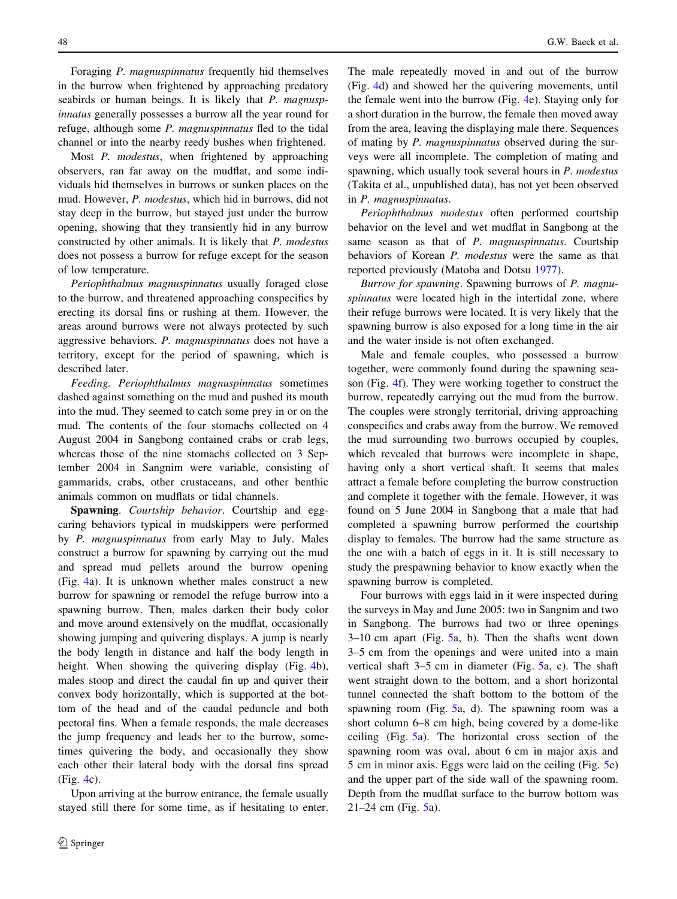Foraging P. magnuspinnatus frequently hid themselves in the burrow when frightened by approaching predatory seabirds or human beings. It is likely that *P. magnusp*innatus generally possesses a burrow all the year round for refuge, although some P. magnuspinnatus fled to the tidal channel or into the nearby reedy bushes when frightened.

Most P. modestus, when frightened by approaching observers, ran far away on the mudflat, and some individuals hid themselves in burrows or sunken places on the mud. However, P. modestus, which hid in burrows, did not stay deep in the burrow, but stayed just under the burrow opening, showing that they transiently hid in any burrow constructed by other animals. It is likely that P. modestus does not possess a burrow for refuge except for the season of low temperature.

Periophthalmus magnuspinnatus usually foraged close to the burrow, and threatened approaching conspecifics by erecting its dorsal fins or rushing at them. However, the areas around burrows were not always protected by such aggressive behaviors. P. magnuspinnatus does not have a territory, except for the period of spawning, which is described later.

Feeding. Periophthalmus magnuspinnatus sometimes dashed against something on the mud and pushed its mouth into the mud. They seemed to catch some prey in or on the mud. The contents of the four stomachs collected on 4 August 2004 in Sangbong contained crabs or crab legs, whereas those of the nine stomachs collected on 3 September 2004 in Sangnim were variable, consisting of gammarids, crabs, other crustaceans, and other benthic animals common on mudflats or tidal channels.

Spawning. Courtship behavior. Courtship and eggcaring behaviors typical in mudskippers were performed by P. magnuspinnatus from early May to July. Males construct a burrow for spawning by carrying out the mud and spread mud pellets around the burrow opening (Fig. [4](#page-6-0)a). It is unknown whether males construct a new burrow for spawning or remodel the refuge burrow into a spawning burrow. Then, males darken their body color and move around extensively on the mudflat, occasionally showing jumping and quivering displays. A jump is nearly the body length in distance and half the body length in height. When showing the quivering display (Fig. [4](#page-6-0)b), males stoop and direct the caudal fin up and quiver their convex body horizontally, which is supported at the bottom of the head and of the caudal peduncle and both pectoral fins. When a female responds, the male decreases the jump frequency and leads her to the burrow, sometimes quivering the body, and occasionally they show each other their lateral body with the dorsal fins spread (Fig. [4](#page-6-0)c).

Upon arriving at the burrow entrance, the female usually stayed still there for some time, as if hesitating to enter.

The male repeatedly moved in and out of the burrow (Fig. [4d](#page-6-0)) and showed her the quivering movements, until the female went into the burrow (Fig. [4e](#page-6-0)). Staying only for a short duration in the burrow, the female then moved away from the area, leaving the displaying male there. Sequences of mating by P. magnuspinnatus observed during the surveys were all incomplete. The completion of mating and spawning, which usually took several hours in P. modestus (Takita et al., unpublished data), has not yet been observed in P. magnuspinnatus.

Periophthalmus modestus often performed courtship behavior on the level and wet mudflat in Sangbong at the same season as that of P. magnuspinnatus. Courtship behaviors of Korean P. modestus were the same as that reported previously (Matoba and Dotsu [1977](#page-9-0)).

Burrow for spawning. Spawning burrows of P. magnuspinnatus were located high in the intertidal zone, where their refuge burrows were located. It is very likely that the spawning burrow is also exposed for a long time in the air and the water inside is not often exchanged.

Male and female couples, who possessed a burrow together, were commonly found during the spawning season (Fig. [4f](#page-6-0)). They were working together to construct the burrow, repeatedly carrying out the mud from the burrow. The couples were strongly territorial, driving approaching conspecifics and crabs away from the burrow. We removed the mud surrounding two burrows occupied by couples, which revealed that burrows were incomplete in shape, having only a short vertical shaft. It seems that males attract a female before completing the burrow construction and complete it together with the female. However, it was found on 5 June 2004 in Sangbong that a male that had completed a spawning burrow performed the courtship display to females. The burrow had the same structure as the one with a batch of eggs in it. It is still necessary to study the prespawning behavior to know exactly when the spawning burrow is completed.

Four burrows with eggs laid in it were inspected during the surveys in May and June 2005: two in Sangnim and two in Sangbong. The burrows had two or three openings 3–10 cm apart (Fig. [5](#page-7-0)a, b). Then the shafts went down 3–5 cm from the openings and were united into a main vertical shaft 3–5 cm in diameter (Fig. [5a](#page-7-0), c). The shaft went straight down to the bottom, and a short horizontal tunnel connected the shaft bottom to the bottom of the spawning room (Fig. [5a](#page-7-0), d). The spawning room was a short column 6–8 cm high, being covered by a dome-like ceiling (Fig. [5a](#page-7-0)). The horizontal cross section of the spawning room was oval, about 6 cm in major axis and 5 cm in minor axis. Eggs were laid on the ceiling (Fig. [5](#page-7-0)e) and the upper part of the side wall of the spawning room. Depth from the mudflat surface to the burrow bottom was 21–24 cm (Fig. [5](#page-7-0)a).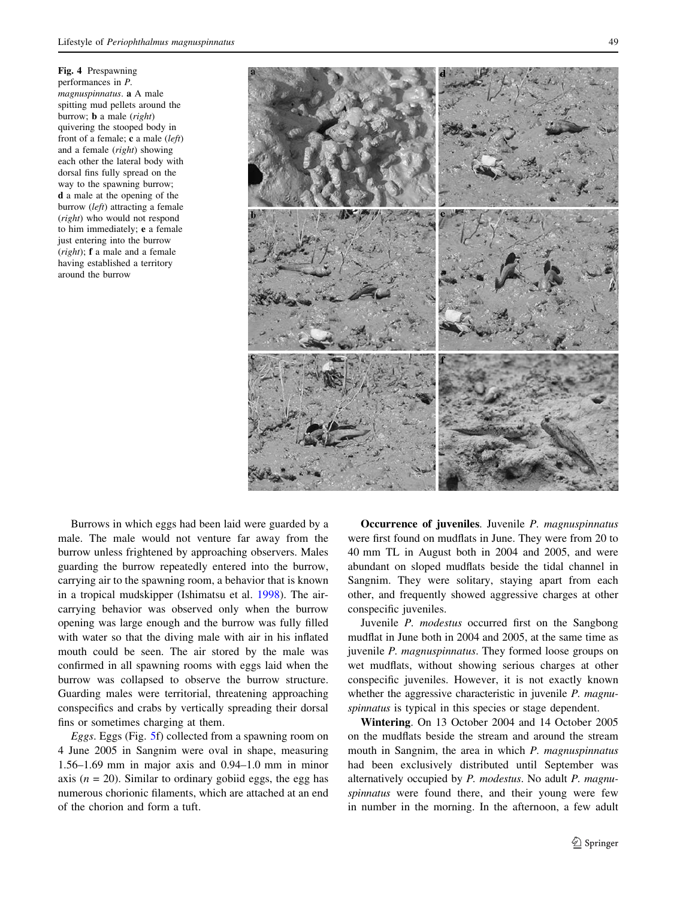<span id="page-6-0"></span>Fig. 4 Prespawning performances in P. magnuspinnatus. a A male spitting mud pellets around the burrow; **b** a male  $(right)$ quivering the stooped body in front of a female;  **a male (left)** and a female (right) showing each other the lateral body with dorsal fins fully spread on the way to the spawning burrow; d a male at the opening of the burrow (left) attracting a female (right) who would not respond to him immediately; e a female just entering into the burrow (right); f a male and a female having established a territory around the burrow



Burrows in which eggs had been laid were guarded by a male. The male would not venture far away from the burrow unless frightened by approaching observers. Males guarding the burrow repeatedly entered into the burrow, carrying air to the spawning room, a behavior that is known in a tropical mudskipper (Ishimatsu et al. [1998](#page-9-0)). The aircarrying behavior was observed only when the burrow opening was large enough and the burrow was fully filled with water so that the diving male with air in his inflated mouth could be seen. The air stored by the male was confirmed in all spawning rooms with eggs laid when the burrow was collapsed to observe the burrow structure. Guarding males were territorial, threatening approaching conspecifics and crabs by vertically spreading their dorsal fins or sometimes charging at them.

Eggs. Eggs (Fig. [5](#page-7-0)f) collected from a spawning room on 4 June 2005 in Sangnim were oval in shape, measuring 1.56–1.69 mm in major axis and 0.94–1.0 mm in minor axis ( $n = 20$ ). Similar to ordinary gobiid eggs, the egg has numerous chorionic filaments, which are attached at an end of the chorion and form a tuft.

Occurrence of juveniles. Juvenile P. magnuspinnatus were first found on mudflats in June. They were from 20 to 40 mm TL in August both in 2004 and 2005, and were abundant on sloped mudflats beside the tidal channel in Sangnim. They were solitary, staying apart from each other, and frequently showed aggressive charges at other conspecific juveniles.

Juvenile P. modestus occurred first on the Sangbong mudflat in June both in 2004 and 2005, at the same time as juvenile P. magnuspinnatus. They formed loose groups on wet mudflats, without showing serious charges at other conspecific juveniles. However, it is not exactly known whether the aggressive characteristic in juvenile *P. magnu*spinnatus is typical in this species or stage dependent.

Wintering. On 13 October 2004 and 14 October 2005 on the mudflats beside the stream and around the stream mouth in Sangnim, the area in which P. magnuspinnatus had been exclusively distributed until September was alternatively occupied by P. modestus. No adult P. magnuspinnatus were found there, and their young were few in number in the morning. In the afternoon, a few adult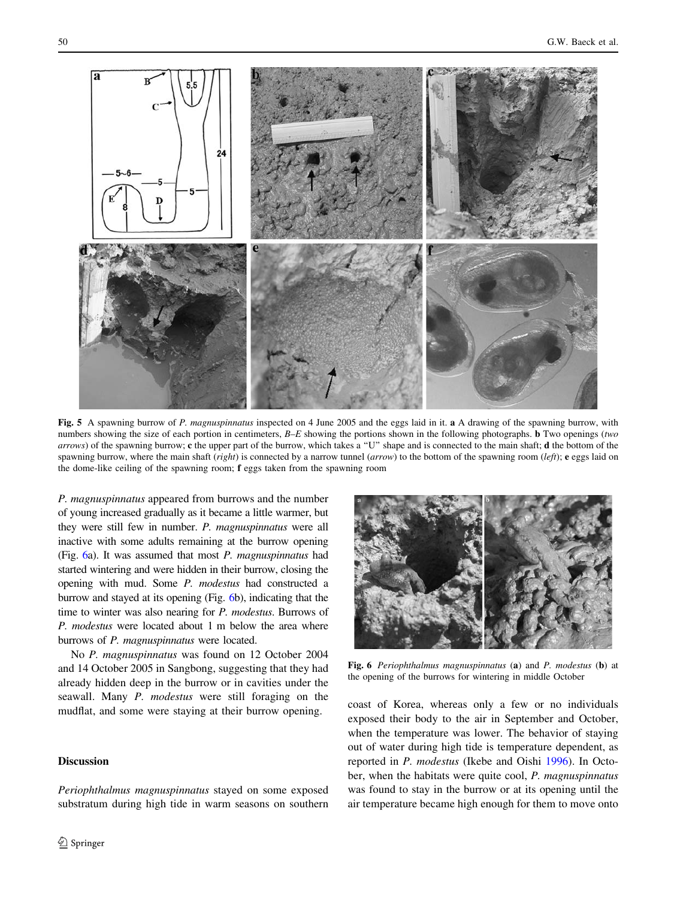<span id="page-7-0"></span>

Fig. 5 A spawning burrow of P. magnuspinnatus inspected on 4 June 2005 and the eggs laid in it. a A drawing of the spawning burrow, with numbers showing the size of each portion in centimeters,  $B-E$  showing the portions shown in the following photographs. **b** Two openings (two arrows) of the spawning burrow; c the upper part of the burrow, which takes a "U" shape and is connected to the main shaft; d the bottom of the spawning burrow, where the main shaft (right) is connected by a narrow tunnel (arrow) to the bottom of the spawning room (left); e eggs laid on the dome-like ceiling of the spawning room; f eggs taken from the spawning room

P. magnuspinnatus appeared from burrows and the number of young increased gradually as it became a little warmer, but they were still few in number. P. magnuspinnatus were all inactive with some adults remaining at the burrow opening (Fig. 6a). It was assumed that most P. magnuspinnatus had started wintering and were hidden in their burrow, closing the opening with mud. Some P. modestus had constructed a burrow and stayed at its opening (Fig. 6b), indicating that the time to winter was also nearing for P. modestus. Burrows of P. modestus were located about 1 m below the area where burrows of *P. magnuspinnatus* were located.

No P. magnuspinnatus was found on 12 October 2004 and 14 October 2005 in Sangbong, suggesting that they had already hidden deep in the burrow or in cavities under the seawall. Many P. modestus were still foraging on the mudflat, and some were staying at their burrow opening.

## Discussion

Periophthalmus magnuspinnatus stayed on some exposed substratum during high tide in warm seasons on southern



Fig. 6 Periophthalmus magnuspinnatus (a) and P. modestus (b) at the opening of the burrows for wintering in middle October

coast of Korea, whereas only a few or no individuals exposed their body to the air in September and October, when the temperature was lower. The behavior of staying out of water during high tide is temperature dependent, as reported in P. modestus (Ikebe and Oishi [1996](#page-9-0)). In October, when the habitats were quite cool, P. magnuspinnatus was found to stay in the burrow or at its opening until the air temperature became high enough for them to move onto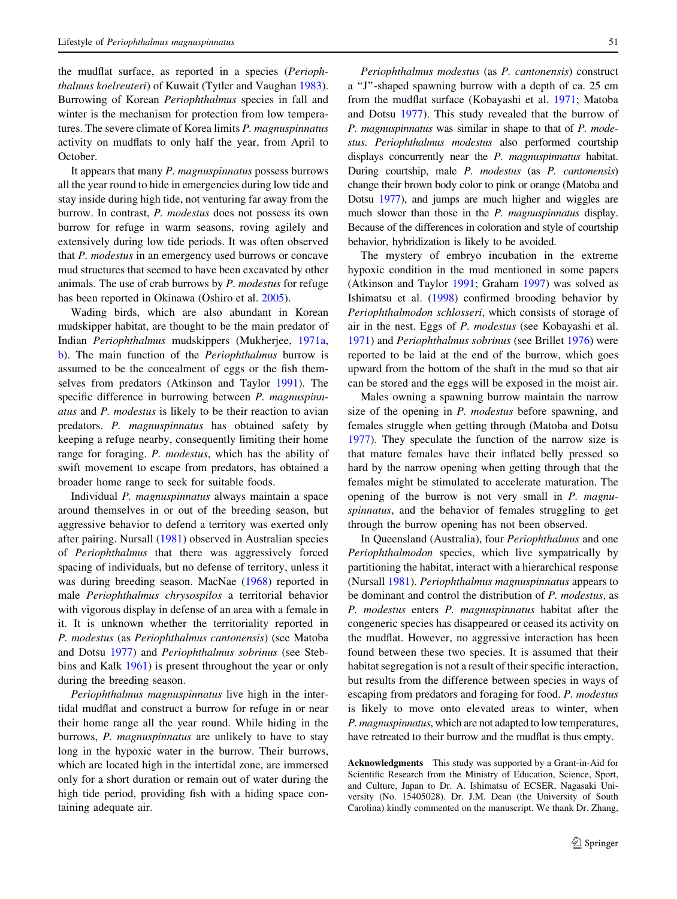the mudflat surface, as reported in a species (Periophthalmus koelreuteri) of Kuwait (Tytler and Vaughan [1983](#page-9-0)). Burrowing of Korean Periophthalmus species in fall and winter is the mechanism for protection from low temperatures. The severe climate of Korea limits P. magnuspinnatus activity on mudflats to only half the year, from April to October.

It appears that many P. magnuspinnatus possess burrows all the year round to hide in emergencies during low tide and stay inside during high tide, not venturing far away from the burrow. In contrast, P. modestus does not possess its own burrow for refuge in warm seasons, roving agilely and extensively during low tide periods. It was often observed that P. modestus in an emergency used burrows or concave mud structures that seemed to have been excavated by other animals. The use of crab burrows by P. modestus for refuge has been reported in Okinawa (Oshiro et al. [2005](#page-9-0)).

Wading birds, which are also abundant in Korean mudskipper habitat, are thought to be the main predator of Indian Periophthalmus mudskippers (Mukherjee, [1971a,](#page-9-0) [b](#page-9-0)). The main function of the Periophthalmus burrow is assumed to be the concealment of eggs or the fish themselves from predators (Atkinson and Taylor [1991\)](#page-9-0). The specific difference in burrowing between *P. magnuspinn*atus and P. modestus is likely to be their reaction to avian predators. P. magnuspinnatus has obtained safety by keeping a refuge nearby, consequently limiting their home range for foraging. P. modestus, which has the ability of swift movement to escape from predators, has obtained a broader home range to seek for suitable foods.

Individual P. magnuspinnatus always maintain a space around themselves in or out of the breeding season, but aggressive behavior to defend a territory was exerted only after pairing. Nursall ([1981\)](#page-9-0) observed in Australian species of Periophthalmus that there was aggressively forced spacing of individuals, but no defense of territory, unless it was during breeding season. MacNae ([1968\)](#page-9-0) reported in male Periophthalmus chrysospilos a territorial behavior with vigorous display in defense of an area with a female in it. It is unknown whether the territoriality reported in P. modestus (as Periophthalmus cantonensis) (see Matoba and Dotsu [1977\)](#page-9-0) and Periophthalmus sobrinus (see Stebbins and Kalk [1961](#page-9-0)) is present throughout the year or only during the breeding season.

Periophthalmus magnuspinnatus live high in the intertidal mudflat and construct a burrow for refuge in or near their home range all the year round. While hiding in the burrows, P. magnuspinnatus are unlikely to have to stay long in the hypoxic water in the burrow. Their burrows, which are located high in the intertidal zone, are immersed only for a short duration or remain out of water during the high tide period, providing fish with a hiding space containing adequate air.

Periophthalmus modestus (as P. cantonensis) construct a ''J''-shaped spawning burrow with a depth of ca. 25 cm from the mudflat surface (Kobayashi et al. [1971](#page-9-0); Matoba and Dotsu [1977](#page-9-0)). This study revealed that the burrow of P. magnuspinnatus was similar in shape to that of P. modestus. Periophthalmus modestus also performed courtship displays concurrently near the *P. magnuspinnatus* habitat. During courtship, male P. modestus (as P. cantonensis) change their brown body color to pink or orange (Matoba and Dotsu [1977\)](#page-9-0), and jumps are much higher and wiggles are much slower than those in the *P. magnuspinnatus* display. Because of the differences in coloration and style of courtship behavior, hybridization is likely to be avoided.

The mystery of embryo incubation in the extreme hypoxic condition in the mud mentioned in some papers (Atkinson and Taylor [1991;](#page-9-0) Graham [1997](#page-9-0)) was solved as Ishimatsu et al. ([1998\)](#page-9-0) confirmed brooding behavior by Periophthalmodon schlosseri, which consists of storage of air in the nest. Eggs of P. modestus (see Kobayashi et al. [1971](#page-9-0)) and Periophthalmus sobrinus (see Brillet [1976\)](#page-9-0) were reported to be laid at the end of the burrow, which goes upward from the bottom of the shaft in the mud so that air can be stored and the eggs will be exposed in the moist air.

Males owning a spawning burrow maintain the narrow size of the opening in P. modestus before spawning, and females struggle when getting through (Matoba and Dotsu [1977](#page-9-0)). They speculate the function of the narrow size is that mature females have their inflated belly pressed so hard by the narrow opening when getting through that the females might be stimulated to accelerate maturation. The opening of the burrow is not very small in P. magnuspinnatus, and the behavior of females struggling to get through the burrow opening has not been observed.

In Queensland (Australia), four Periophthalmus and one Periophthalmodon species, which live sympatrically by partitioning the habitat, interact with a hierarchical response (Nursall [1981](#page-9-0)). Periophthalmus magnuspinnatus appears to be dominant and control the distribution of P. modestus, as P. modestus enters P. magnuspinnatus habitat after the congeneric species has disappeared or ceased its activity on the mudflat. However, no aggressive interaction has been found between these two species. It is assumed that their habitat segregation is not a result of their specific interaction, but results from the difference between species in ways of escaping from predators and foraging for food. P. modestus is likely to move onto elevated areas to winter, when P. magnuspinnatus, which are not adapted to low temperatures, have retreated to their burrow and the mudflat is thus empty.

Acknowledgments This study was supported by a Grant-in-Aid for Scientific Research from the Ministry of Education, Science, Sport, and Culture, Japan to Dr. A. Ishimatsu of ECSER, Nagasaki University (No. 15405028). Dr. J.M. Dean (the University of South Carolina) kindly commented on the manuscript. We thank Dr. Zhang,